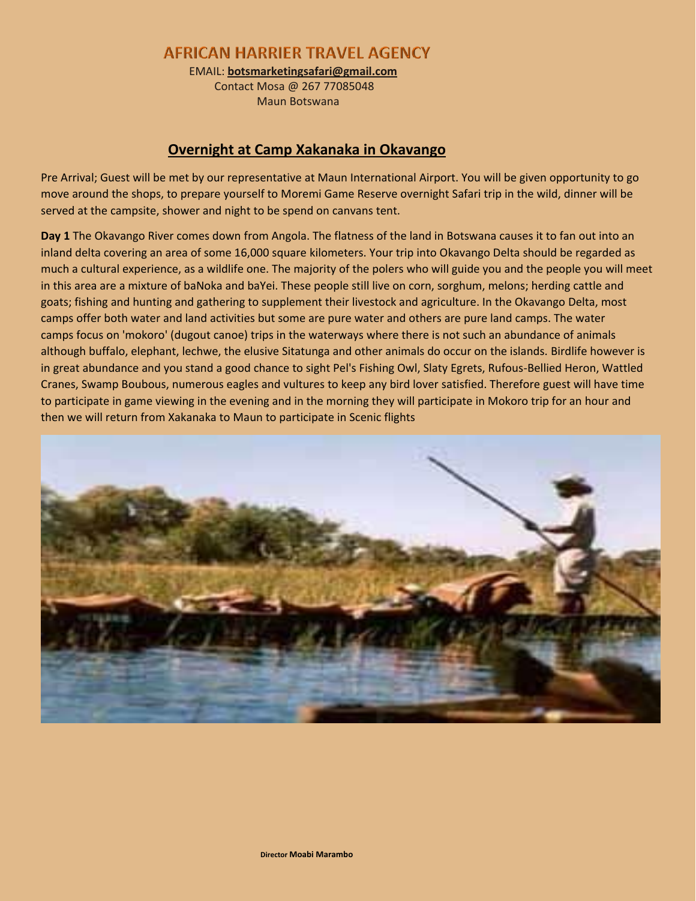**AFRICAN HARRIER TRAVEL AGENCY** 

EMAIL: **botsmarketingsafari@gmail.com**

 Contact Mosa @ 267 77085048 Maun Botswana

# **Overnight at Camp Xakanaka in Okavango**

Pre Arrival; Guest will be met by our representative at Maun International Airport. You will be given opportunity to go move around the shops, to prepare yourself to Moremi Game Reserve overnight Safari trip in the wild, dinner will be served at the campsite, shower and night to be spend on canvans tent.

**Day 1** The Okavango River comes down from Angola. The flatness of the land in Botswana causes it to fan out into an inland delta covering an area of some 16,000 square kilometers. Your trip into Okavango Delta should be regarded as much a cultural experience, as a wildlife one. The majority of the polers who will guide you and the people you will meet in this area are a mixture of baNoka and baYei. These people still live on corn, sorghum, melons; herding cattle and goats; fishing and hunting and gathering to supplement their livestock and agriculture. In the Okavango Delta, most camps offer both water and land activities but some are pure water and others are pure land camps. The water camps focus on 'mokoro' (dugout canoe) trips in the waterways where there is not such an abundance of animals although buffalo, elephant, lechwe, the elusive Sitatunga and other animals do occur on the islands. Birdlife however is in great abundance and you stand a good chance to sight Pel's Fishing Owl, Slaty Egrets, Rufous-Bellied Heron, Wattled Cranes, Swamp Boubous, numerous eagles and vultures to keep any bird lover satisfied. Therefore guest will have time to participate in game viewing in the evening and in the morning they will participate in Mokoro trip for an hour and then we will return from Xakanaka to Maun to participate in Scenic flights